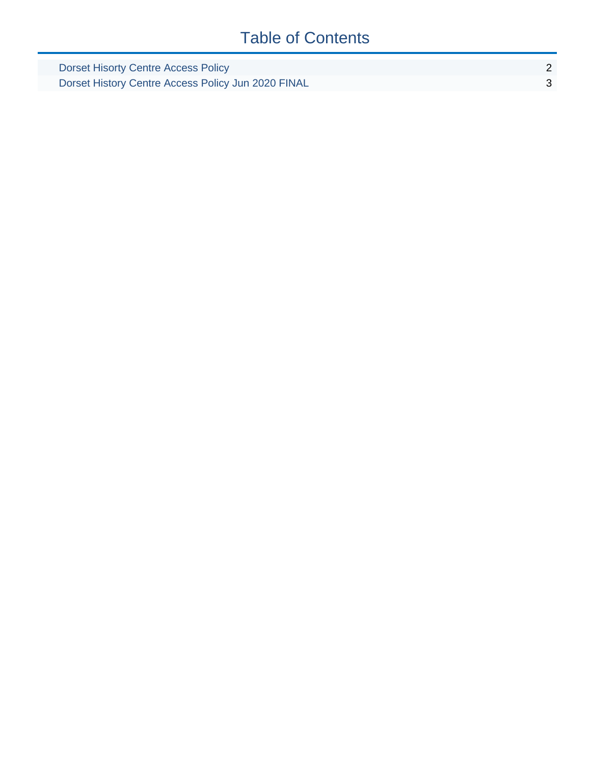### Table of Contents

| Dorset Hisorty Centre Access Policy                |  |
|----------------------------------------------------|--|
| Dorset History Centre Access Policy Jun 2020 FINAL |  |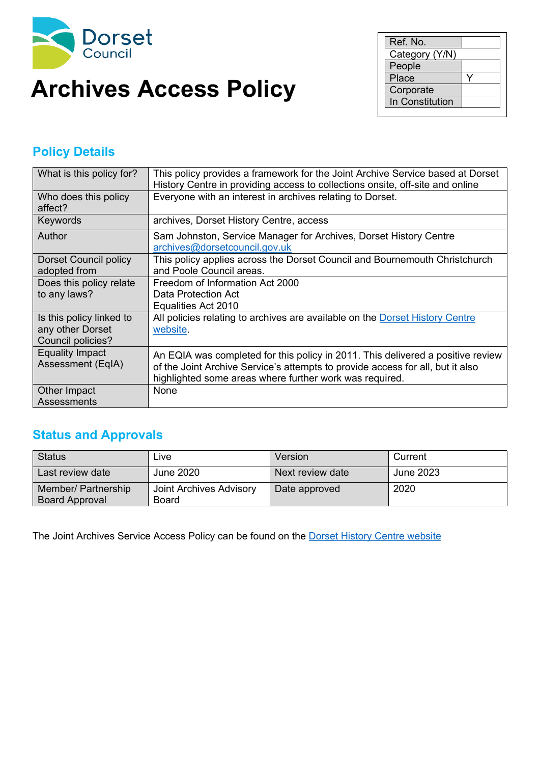<span id="page-1-0"></span>

## **Archives Access Policy Example 1 Corporate**

| Ref. No.        |  |
|-----------------|--|
| Category (Y/N)  |  |
| People          |  |
| Place           |  |
| Corporate       |  |
| In Constitution |  |

#### **Policy Details**

| What is this policy for?                                          | This policy provides a framework for the Joint Archive Service based at Dorset<br>History Centre in providing access to collections onsite, off-site and online                                                              |
|-------------------------------------------------------------------|------------------------------------------------------------------------------------------------------------------------------------------------------------------------------------------------------------------------------|
| Who does this policy<br>affect?                                   | Everyone with an interest in archives relating to Dorset.                                                                                                                                                                    |
| Keywords                                                          | archives, Dorset History Centre, access                                                                                                                                                                                      |
| Author                                                            | Sam Johnston, Service Manager for Archives, Dorset History Centre<br>archives@dorsetcouncil.gov.uk                                                                                                                           |
| <b>Dorset Council policy</b><br>adopted from                      | This policy applies across the Dorset Council and Bournemouth Christchurch<br>and Poole Council areas.                                                                                                                       |
| Does this policy relate<br>to any laws?                           | Freedom of Information Act 2000<br>Data Protection Act                                                                                                                                                                       |
|                                                                   | Equalities Act 2010                                                                                                                                                                                                          |
| Is this policy linked to<br>any other Dorset<br>Council policies? | All policies relating to archives are available on the Dorset History Centre<br>website.                                                                                                                                     |
| <b>Equality Impact</b><br>Assessment (EqIA)                       | An EQIA was completed for this policy in 2011. This delivered a positive review<br>of the Joint Archive Service's attempts to provide access for all, but it also<br>highlighted some areas where further work was required. |
| Other Impact<br>Assessments                                       | None                                                                                                                                                                                                                         |

#### **Status and Approvals**

| Status                                       | ∟ive                             | Version          | Current   |
|----------------------------------------------|----------------------------------|------------------|-----------|
| Last review date                             | June 2020                        | Next review date | June 2023 |
| Member/ Partnership<br><b>Board Approval</b> | Joint Archives Advisory<br>Board | Date approved    | 2020      |

The Joint Archives Service Access Policy can be found on the **Dorset History Centre [website](https://www.dorsetcouncil.gov.uk/libraries-history-culture/dorset-history-centre/dorset-history-centre-pdfs/dorset-history-centre-access-policy.pdf)**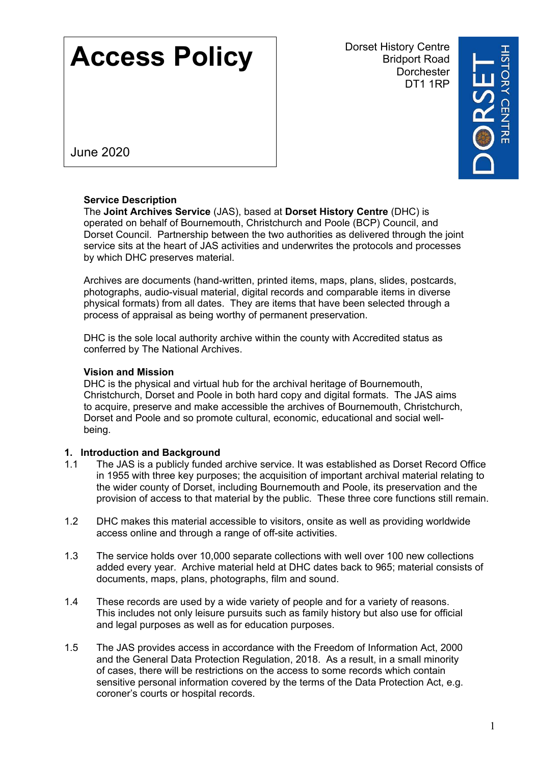# <span id="page-2-0"></span>**Access Policy**

Dorset History Centre Bridport Road **Dorchester** DT1 1RP



June 2020

#### **Service Description**

The **Joint Archives Service** (JAS), based at **Dorset History Centre** (DHC) is operated on behalf of Bournemouth, Christchurch and Poole (BCP) Council, and Dorset Council. Partnership between the two authorities as delivered through the joint service sits at the heart of JAS activities and underwrites the protocols and processes by which DHC preserves material.

Archives are documents (hand-written, printed items, maps, plans, slides, postcards, photographs, audio-visual material, digital records and comparable items in diverse physical formats) from all dates. They are items that have been selected through a process of appraisal as being worthy of permanent preservation.

DHC is the sole local authority archive within the county with Accredited status as conferred by The National Archives.

#### **Vision and Mission**

DHC is the physical and virtual hub for the archival heritage of Bournemouth, Christchurch, Dorset and Poole in both hard copy and digital formats. The JAS aims to acquire, preserve and make accessible the archives of Bournemouth, Christchurch, Dorset and Poole and so promote cultural, economic, educational and social wellbeing.

#### **1. Introduction and Background**

- 1.1 The JAS is a publicly funded archive service. It was established as Dorset Record Office in 1955 with three key purposes; the acquisition of important archival material relating to the wider county of Dorset, including Bournemouth and Poole, its preservation and the provision of access to that material by the public. These three core functions still remain.
- 1.2 DHC makes this material accessible to visitors, onsite as well as providing worldwide access online and through a range of off-site activities.
- 1.3 The service holds over 10,000 separate collections with well over 100 new collections added every year. Archive material held at DHC dates back to 965; material consists of documents, maps, plans, photographs, film and sound.
- 1.4 These records are used by a wide variety of people and for a variety of reasons. This includes not only leisure pursuits such as family history but also use for official and legal purposes as well as for education purposes.
- 1.5 The JAS provides access in accordance with the Freedom of Information Act, 2000 and the General Data Protection Regulation, 2018. As a result, in a small minority of cases, there will be restrictions on the access to some records which contain sensitive personal information covered by the terms of the Data Protection Act, e.g. coroner's courts or hospital records.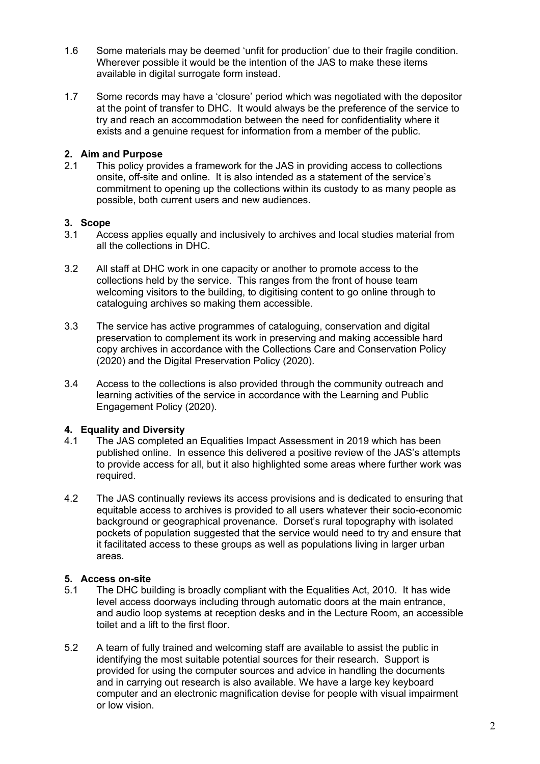- 1.6 Some materials may be deemed 'unfit for production' due to their fragile condition. Wherever possible it would be the intention of the JAS to make these items available in digital surrogate form instead.
- 1.7 Some records may have a 'closure' period which was negotiated with the depositor at the point of transfer to DHC. It would always be the preference of the service to try and reach an accommodation between the need for confidentiality where it exists and a genuine request for information from a member of the public.

#### **2. Aim and Purpose**

2.1 This policy provides a framework for the JAS in providing access to collections onsite, off-site and online. It is also intended as a statement of the service's commitment to opening up the collections within its custody to as many people as possible, both current users and new audiences.

#### **3. Scope**

- 3.1 Access applies equally and inclusively to archives and local studies material from all the collections in DHC.
- 3.2 All staff at DHC work in one capacity or another to promote access to the collections held by the service. This ranges from the front of house team welcoming visitors to the building, to digitising content to go online through to cataloguing archives so making them accessible.
- 3.3 The service has active programmes of cataloguing, conservation and digital preservation to complement its work in preserving and making accessible hard copy archives in accordance with the Collections Care and Conservation Policy (2020) and the Digital Preservation Policy (2020).
- 3.4 Access to the collections is also provided through the community outreach and learning activities of the service in accordance with the Learning and Public Engagement Policy (2020).

#### **4. Equality and Diversity**

- 4.1 The JAS completed an Equalities Impact Assessment in 2019 which has been published online. In essence this delivered a positive review of the JAS's attempts to provide access for all, but it also highlighted some areas where further work was required.
- 4.2 The JAS continually reviews its access provisions and is dedicated to ensuring that equitable access to archives is provided to all users whatever their socio-economic background or geographical provenance. Dorset's rural topography with isolated pockets of population suggested that the service would need to try and ensure that it facilitated access to these groups as well as populations living in larger urban areas.

#### **5. Access on-site**

- 5.1 The DHC building is broadly compliant with the Equalities Act, 2010. It has wide level access doorways including through automatic doors at the main entrance, and audio loop systems at reception desks and in the Lecture Room, an accessible toilet and a lift to the first floor.
- 5.2 A team of fully trained and welcoming staff are available to assist the public in identifying the most suitable potential sources for their research. Support is provided for using the computer sources and advice in handling the documents and in carrying out research is also available. We have a large key keyboard computer and an electronic magnification devise for people with visual impairment or low vision.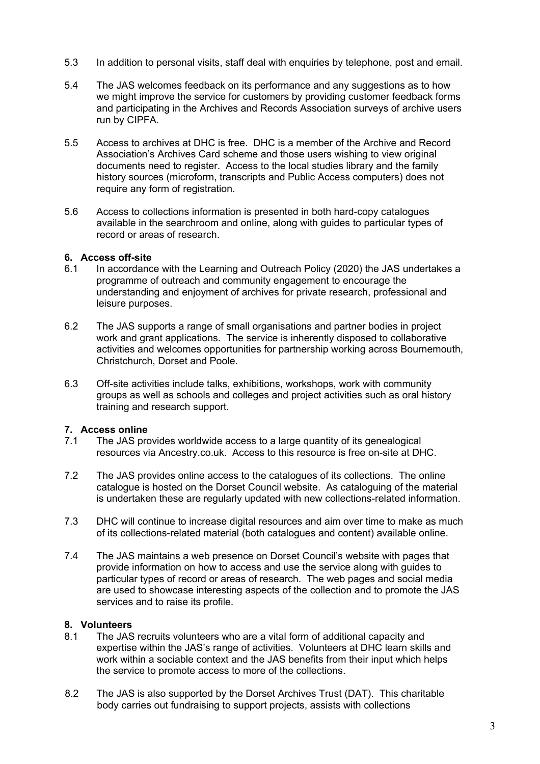- 5.3 In addition to personal visits, staff deal with enquiries by telephone, post and email.
- 5.4 The JAS welcomes feedback on its performance and any suggestions as to how we might improve the service for customers by providing customer feedback forms and participating in the Archives and Records Association surveys of archive users run by CIPFA.
- 5.5 Access to archives at DHC is free. DHC is a member of the Archive and Record Association's Archives Card scheme and those users wishing to view original documents need to register. Access to the local studies library and the family history sources (microform, transcripts and Public Access computers) does not require any form of registration.
- 5.6 Access to collections information is presented in both hard-copy catalogues available in the searchroom and online, along with guides to particular types of record or areas of research.

#### **6. Access off-site**

- 6.1 In accordance with the Learning and Outreach Policy (2020) the JAS undertakes a programme of outreach and community engagement to encourage the understanding and enjoyment of archives for private research, professional and leisure purposes.
- 6.2 The JAS supports a range of small organisations and partner bodies in project work and grant applications. The service is inherently disposed to collaborative activities and welcomes opportunities for partnership working across Bournemouth, Christchurch, Dorset and Poole.
- 6.3 Off-site activities include talks, exhibitions, workshops, work with community groups as well as schools and colleges and project activities such as oral history training and research support.

#### **7. Access online**

- 7.1 The JAS provides worldwide access to a large quantity of its genealogical resources via Ancestry.co.uk. Access to this resource is free on-site at DHC.
- 7.2 The JAS provides online access to the catalogues of its collections. The online catalogue is hosted on the Dorset Council website. As cataloguing of the material is undertaken these are regularly updated with new collections-related information.
- 7.3 DHC will continue to increase digital resources and aim over time to make as much of its collections-related material (both catalogues and content) available online.
- 7.4 The JAS maintains a web presence on Dorset Council's website with pages that provide information on how to access and use the service along with guides to particular types of record or areas of research. The web pages and social media are used to showcase interesting aspects of the collection and to promote the JAS services and to raise its profile.

#### **8. Volunteers**

- 8.1 The JAS recruits volunteers who are a vital form of additional capacity and expertise within the JAS's range of activities. Volunteers at DHC learn skills and work within a sociable context and the JAS benefits from their input which helps the service to promote access to more of the collections.
- 8.2 The JAS is also supported by the Dorset Archives Trust (DAT). This charitable body carries out fundraising to support projects, assists with collections